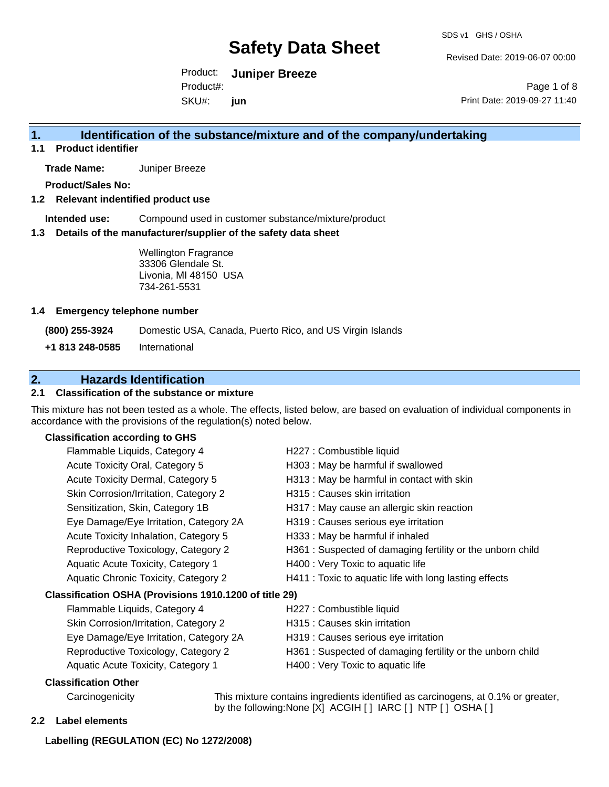Revised Date: 2019-06-07 00:00

Product: **Juniper Breeze** SKU#: Product#: **jun**

Page 1 of 8 Print Date: 2019-09-27 11:40

# **1. Identification of the substance/mixture and of the company/undertaking**

**1.1 Product identifier**

**Trade Name:** Juniper Breeze

**Product/Sales No:**

**1.2 Relevant indentified product use**

**Intended use:** Compound used in customer substance/mixture/product

**1.3 Details of the manufacturer/supplier of the safety data sheet**

Wellington Fragrance 33306 Glendale St. Livonia, MI 48150 USA 734-261-5531

#### **1.4 Emergency telephone number**

**(800) 255-3924** Domestic USA, Canada, Puerto Rico, and US Virgin Islands

**+1 813 248-0585** International

# **2. Hazards Identification**

### **2.1 Classification of the substance or mixture**

This mixture has not been tested as a whole. The effects, listed below, are based on evaluation of individual components in accordance with the provisions of the regulation(s) noted below.

### **Classification according to GHS**

| Flammable Liquids, Category 4                          | H227 : Combustible liquid                                 |
|--------------------------------------------------------|-----------------------------------------------------------|
| Acute Toxicity Oral, Category 5                        | H303 : May be harmful if swallowed                        |
| Acute Toxicity Dermal, Category 5                      | H313 : May be harmful in contact with skin                |
| Skin Corrosion/Irritation, Category 2                  | H315 : Causes skin irritation                             |
| Sensitization, Skin, Category 1B                       | H317 : May cause an allergic skin reaction                |
| Eye Damage/Eye Irritation, Category 2A                 | H319 : Causes serious eye irritation                      |
| Acute Toxicity Inhalation, Category 5                  | H333: May be harmful if inhaled                           |
| Reproductive Toxicology, Category 2                    | H361: Suspected of damaging fertility or the unborn child |
| Aquatic Acute Toxicity, Category 1                     | H400 : Very Toxic to aquatic life                         |
| Aquatic Chronic Toxicity, Category 2                   | H411 : Toxic to aquatic life with long lasting effects    |
| Classification OSHA (Provisions 1910.1200 of title 29) |                                                           |
| Flammable Liquids, Category 4                          | H227 : Combustible liquid                                 |
| Skin Corrosion/Irritation, Category 2                  | H315 : Causes skin irritation                             |
| Eye Damage/Eye Irritation, Category 2A                 | H319 : Causes serious eye irritation                      |
| Reproductive Toxicology, Category 2                    | H361: Suspected of damaging fertility or the unborn child |
| Aquatic Acute Toxicity, Category 1                     | H400 : Very Toxic to aquatic life                         |
| Classification Other                                   |                                                           |

Carcinogenicity This mixture contains ingredients identified as carcinogens, at 0.1% or greater, by the following:None [X] ACGIH [ ] IARC [ ] NTP [ ] OSHA [ ]

#### **2.2 Label elements**

### **Labelling (REGULATION (EC) No 1272/2008)**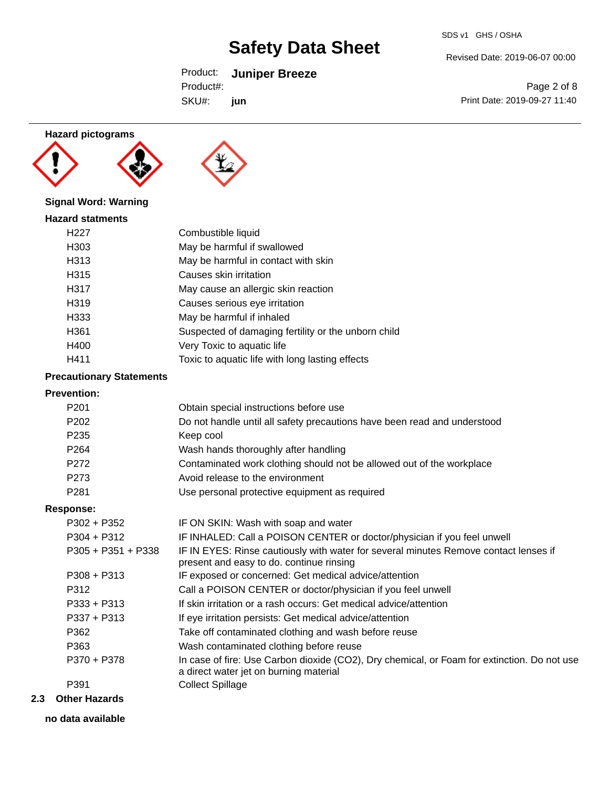#### SDS v1 GHS / OSHA

Revised Date: 2019-06-07 00:00

Product: **Juniper Breeze** SKU#: Product#: **jun**

Page 2 of 8 Print Date: 2019-09-27 11:40

# **Hazard pictograms**





# **Signal Word: Warning**

| <b>Hazard statments</b> |                                                     |
|-------------------------|-----------------------------------------------------|
| H <sub>22</sub> 7       | Combustible liquid                                  |
| H <sub>303</sub>        | May be harmful if swallowed                         |
| H313                    | May be harmful in contact with skin                 |
| H315                    | Causes skin irritation                              |
| H317                    | May cause an allergic skin reaction                 |
| H <sub>319</sub>        | Causes serious eye irritation                       |
| H333                    | May be harmful if inhaled                           |
| H <sub>361</sub>        | Suspected of damaging fertility or the unborn child |
| H400                    | Very Toxic to aquatic life                          |
| H411                    | Toxic to aquatic life with long lasting effects     |

# **Precautionary Statements**

# **Prevention:**

| FICVEIIUUII.         |                                                                                                                                       |
|----------------------|---------------------------------------------------------------------------------------------------------------------------------------|
| P <sub>201</sub>     | Obtain special instructions before use                                                                                                |
| P <sub>202</sub>     | Do not handle until all safety precautions have been read and understood                                                              |
| P <sub>235</sub>     | Keep cool                                                                                                                             |
| P <sub>264</sub>     | Wash hands thoroughly after handling                                                                                                  |
| P272                 | Contaminated work clothing should not be allowed out of the workplace                                                                 |
| P273                 | Avoid release to the environment                                                                                                      |
| P <sub>281</sub>     | Use personal protective equipment as required                                                                                         |
| <b>Response:</b>     |                                                                                                                                       |
| $P302 + P352$        | IF ON SKIN: Wash with soap and water                                                                                                  |
| $P304 + P312$        | IF INHALED: Call a POISON CENTER or doctor/physician if you feel unwell                                                               |
| $P305 + P351 + P338$ | IF IN EYES: Rinse cautiously with water for several minutes Remove contact lenses if<br>present and easy to do. continue rinsing      |
| $P308 + P313$        | IF exposed or concerned: Get medical advice/attention                                                                                 |
| P312                 | Call a POISON CENTER or doctor/physician if you feel unwell                                                                           |
| $P333 + P313$        | If skin irritation or a rash occurs: Get medical advice/attention                                                                     |
| $P337 + P313$        | If eye irritation persists: Get medical advice/attention                                                                              |
| P362                 | Take off contaminated clothing and wash before reuse                                                                                  |
| P363                 | Wash contaminated clothing before reuse                                                                                               |
| P370 + P378          | In case of fire: Use Carbon dioxide (CO2), Dry chemical, or Foam for extinction. Do not use<br>a direct water jet on burning material |
| P391                 | <b>Collect Spillage</b>                                                                                                               |

### **2.3 Other Hazards**

**no data available**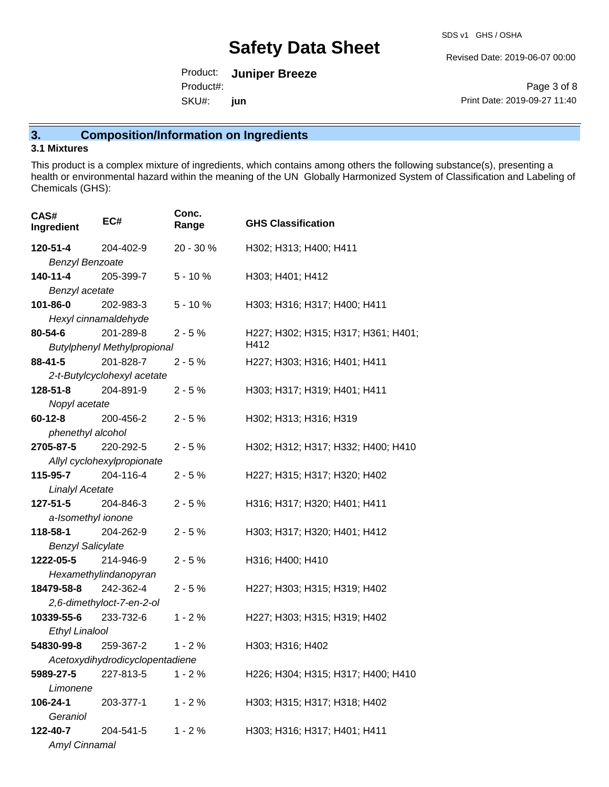Revised Date: 2019-06-07 00:00

Product: **Juniper Breeze** SKU#: Product#: **jun**

Page 3 of 8 Print Date: 2019-09-27 11:40

# **3. Composition/Information on Ingredients**

# **3.1 Mixtures**

This product is a complex mixture of ingredients, which contains among others the following substance(s), presenting a health or environmental hazard within the meaning of the UN Globally Harmonized System of Classification and Labeling of Chemicals (GHS):

| CAS#<br>Ingredient        | EC#                                | Conc.<br>Range | <b>GHS Classification</b>           |
|---------------------------|------------------------------------|----------------|-------------------------------------|
| 120-51-4                  | 204-402-9                          | 20 - 30 %      | H302; H313; H400; H411              |
| <b>Benzyl Benzoate</b>    |                                    |                |                                     |
| 140-11-4                  | 205-399-7                          | $5 - 10%$      | H303; H401; H412                    |
| Benzyl acetate            |                                    |                |                                     |
| 101-86-0                  | 202-983-3                          | $5 - 10%$      | H303; H316; H317; H400; H411        |
| Hexyl cinnamaldehyde      |                                    |                |                                     |
| 80-54-6                   | 201-289-8                          | $2 - 5%$       | H227; H302; H315; H317; H361; H401; |
|                           | <b>Butylphenyl Methylpropional</b> |                | H412                                |
| $88 - 41 - 5$             | 201-828-7                          | $2 - 5%$       | H227; H303; H316; H401; H411        |
|                           | 2-t-Butylcyclohexyl acetate        |                |                                     |
| 128-51-8                  | 204-891-9                          | $2 - 5%$       | H303; H317; H319; H401; H411        |
| Nopyl acetate             |                                    |                |                                     |
| $60 - 12 - 8$             | 200-456-2                          | $2 - 5%$       | H302; H313; H316; H319              |
| phenethyl alcohol         |                                    |                |                                     |
| 2705-87-5                 | 220-292-5                          | $2 - 5%$       | H302; H312; H317; H332; H400; H410  |
|                           | Allyl cyclohexylpropionate         |                |                                     |
| 115-95-7 204-116-4        |                                    | $2 - 5%$       | H227; H315; H317; H320; H402        |
| <b>Linalyl Acetate</b>    |                                    |                |                                     |
| $127 - 51 - 5$            | 204-846-3                          | $2 - 5%$       | H316; H317; H320; H401; H411        |
| a-Isomethyl ionone        |                                    |                |                                     |
| <b>118-58-1</b> 204-262-9 |                                    | $2 - 5%$       | H303; H317; H320; H401; H412        |
| <b>Benzyl Salicylate</b>  |                                    |                |                                     |
| 1222-05-5                 | 214-946-9                          | $2 - 5%$       | H316; H400; H410                    |
|                           | Hexamethylindanopyran              |                |                                     |
| 18479-58-8                | 242-362-4                          | $2 - 5%$       | H227; H303; H315; H319; H402        |
|                           | 2,6-dimethyloct-7-en-2-ol          |                |                                     |
| 10339-55-6                | 233-732-6                          | $1 - 2%$       | H227; H303; H315; H319; H402        |
| <b>Ethyl Linalool</b>     |                                    |                |                                     |
| 54830-99-8                | 259-367-2                          | $1 - 2%$       | H303; H316; H402                    |
|                           | Acetoxydihydrodicyclopentadiene    |                |                                     |
| 5989-27-5                 | 227-813-5                          | $1 - 2%$       | H226; H304; H315; H317; H400; H410  |
| Limonene                  |                                    |                |                                     |
| 106-24-1                  | 203-377-1                          | $1 - 2%$       | H303; H315; H317; H318; H402        |
| Geraniol                  |                                    |                |                                     |
| 122-40-7                  | 204-541-5                          | $1 - 2%$       | H303; H316; H317; H401; H411        |
| Amyl Cinnamal             |                                    |                |                                     |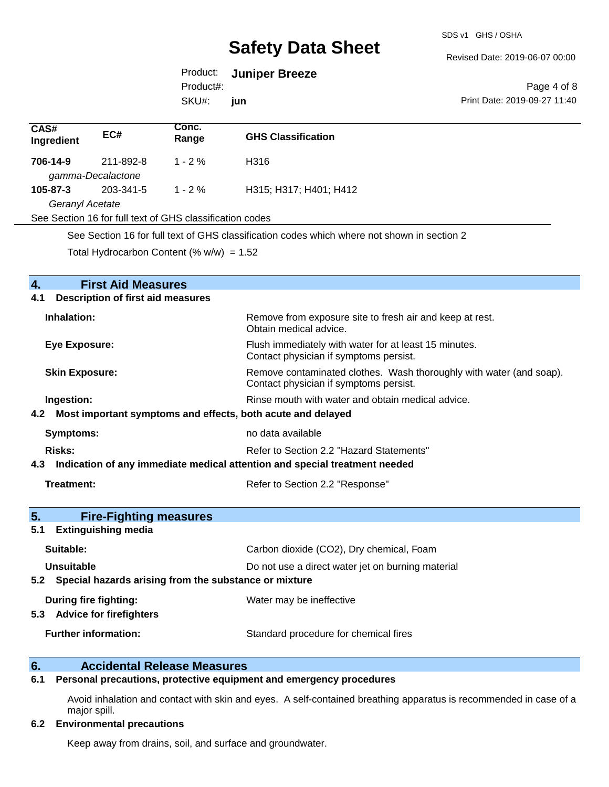#### Revised Date: 2019-06-07 00:00

# Product: **Juniper Breeze**

SKU#: Product#: **jun**

Page 4 of 8 Print Date: 2019-09-27 11:40

| CAS#<br>Ingredient | EC#                                                      | Conc.<br>Range | <b>GHS Classification</b> |
|--------------------|----------------------------------------------------------|----------------|---------------------------|
| 706-14-9           | 211-892-8                                                | $1 - 2\%$      | H316                      |
|                    | gamma-Decalactone                                        |                |                           |
| $105 - 87 - 3$     | 203-341-5                                                | $1 - 2 \%$     | H315; H317; H401; H412    |
| Geranyl Acetate    |                                                          |                |                           |
|                    | See Section 16 for full text of GHS classification codes |                |                           |
|                    |                                                          |                |                           |

See Section 16 for full text of GHS classification codes which where not shown in section 2

Total Hydrocarbon Content (%  $w/w$ ) = 1.52

| $\overline{4}$ .<br><b>First Aid Measures</b>                                     |                                                                                                               |
|-----------------------------------------------------------------------------------|---------------------------------------------------------------------------------------------------------------|
| <b>Description of first aid measures</b><br>4.1                                   |                                                                                                               |
| Inhalation:                                                                       | Remove from exposure site to fresh air and keep at rest.<br>Obtain medical advice.                            |
| <b>Eye Exposure:</b>                                                              | Flush immediately with water for at least 15 minutes.<br>Contact physician if symptoms persist.               |
| <b>Skin Exposure:</b>                                                             | Remove contaminated clothes. Wash thoroughly with water (and soap).<br>Contact physician if symptoms persist. |
| Ingestion:                                                                        | Rinse mouth with water and obtain medical advice.                                                             |
| 4.2 Most important symptoms and effects, both acute and delayed                   |                                                                                                               |
| <b>Symptoms:</b>                                                                  | no data available                                                                                             |
| Risks:                                                                            | Refer to Section 2.2 "Hazard Statements"                                                                      |
| Indication of any immediate medical attention and special treatment needed<br>4.3 |                                                                                                               |
| Treatment:                                                                        | Refer to Section 2.2 "Response"                                                                               |
| 5.<br><b>Fire-Fighting measures</b>                                               |                                                                                                               |
| <b>Extinguishing media</b><br>5.1                                                 |                                                                                                               |
| Suitable:                                                                         | Carbon dioxide (CO2), Dry chemical, Foam                                                                      |
| Unsuitable                                                                        | Do not use a direct water jet on burning material                                                             |
| 5.2 Special hazards arising from the substance or mixture                         |                                                                                                               |
| During fire fighting:                                                             | Water may be ineffective                                                                                      |
| <b>Advice for firefighters</b><br>5.3                                             |                                                                                                               |
| <b>Further information:</b>                                                       | Standard procedure for chemical fires                                                                         |
|                                                                                   |                                                                                                               |

# **6. Accidental Release Measures**

### **6.1 Personal precautions, protective equipment and emergency procedures**

Avoid inhalation and contact with skin and eyes. A self-contained breathing apparatus is recommended in case of a major spill.

#### **6.2 Environmental precautions**

Keep away from drains, soil, and surface and groundwater.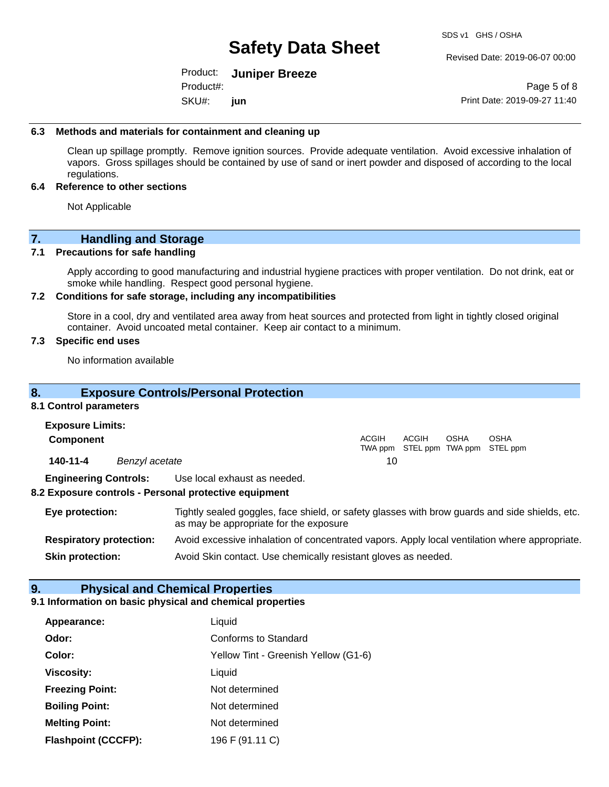Revised Date: 2019-06-07 00:00

Product: **Juniper Breeze** SKU#: Product#: **jun**

Page 5 of 8 Print Date: 2019-09-27 11:40

#### **6.3 Methods and materials for containment and cleaning up**

Clean up spillage promptly. Remove ignition sources. Provide adequate ventilation. Avoid excessive inhalation of vapors. Gross spillages should be contained by use of sand or inert powder and disposed of according to the local regulations.

#### **6.4 Reference to other sections**

Not Applicable

# **7. Handling and Storage**

### **7.1 Precautions for safe handling**

Apply according to good manufacturing and industrial hygiene practices with proper ventilation. Do not drink, eat or smoke while handling. Respect good personal hygiene.

#### **7.2 Conditions for safe storage, including any incompatibilities**

Store in a cool, dry and ventilated area away from heat sources and protected from light in tightly closed original container. Avoid uncoated metal container. Keep air contact to a minimum.

### **7.3 Specific end uses**

No information available

# **8. Exposure Controls/Personal Protection**

#### **8.1 Control parameters**

| <b>Exposure Limits:</b>      |                |                                                       |       |       |             |                                                  |  |
|------------------------------|----------------|-------------------------------------------------------|-------|-------|-------------|--------------------------------------------------|--|
| Component                    |                |                                                       | ACGIH | ACGIH | <b>OSHA</b> | <b>OSHA</b><br>TWA ppm STEL ppm TWA ppm STEL ppm |  |
| 140-11-4                     | Benzyl acetate |                                                       | 10    |       |             |                                                  |  |
| <b>Engineering Controls:</b> |                | Use local exhaust as needed.                          |       |       |             |                                                  |  |
|                              |                | 8.2 Exposure controls - Personal protective equipment |       |       |             |                                                  |  |

# **Eye protection:** Tightly sealed goggles, face shield, or safety glasses with brow guards and side shields, etc. as may be appropriate for the exposure **Respiratory protection:** Avoid excessive inhalation of concentrated vapors. Apply local ventilation where appropriate.

**Skin protection:** Avoid Skin contact. Use chemically resistant gloves as needed.

# **9. Physical and Chemical Properties**

### **9.1 Information on basic physical and chemical properties**

| Appearance:                | Liquid                               |
|----------------------------|--------------------------------------|
| Odor:                      | Conforms to Standard                 |
| Color:                     | Yellow Tint - Greenish Yellow (G1-6) |
| <b>Viscosity:</b>          | Liquid                               |
| <b>Freezing Point:</b>     | Not determined                       |
| <b>Boiling Point:</b>      | Not determined                       |
| <b>Melting Point:</b>      | Not determined                       |
| <b>Flashpoint (CCCFP):</b> | 196 F (91.11 C)                      |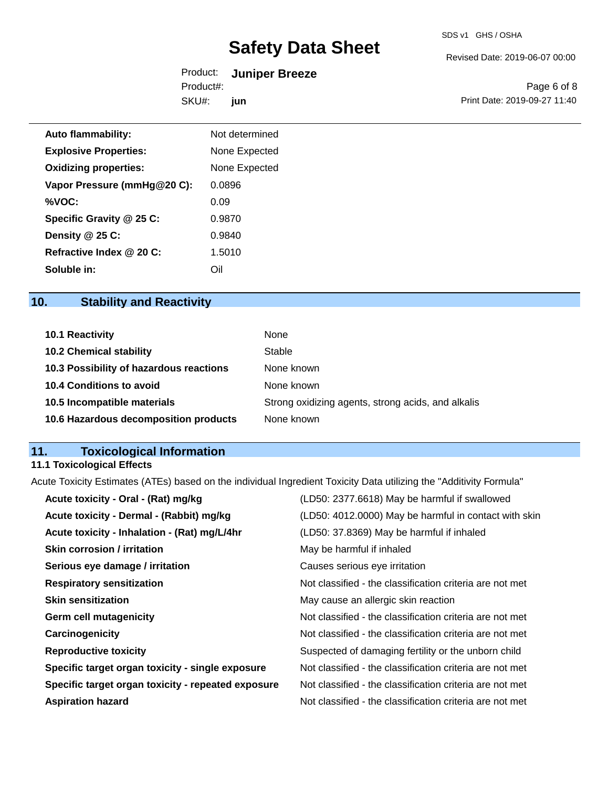Revised Date: 2019-06-07 00:00

| Product:  | <b>Juniper Breeze</b> |
|-----------|-----------------------|
| Product#: |                       |
| SKU#:     | jun                   |

Page 6 of 8 Print Date: 2019-09-27 11:40

| <b>Auto flammability:</b>    | Not determined |
|------------------------------|----------------|
| <b>Explosive Properties:</b> | None Expected  |
| <b>Oxidizing properties:</b> | None Expected  |
| Vapor Pressure (mmHg@20 C):  | 0.0896         |
| %VOC:                        | 0.09           |
| Specific Gravity @ 25 C:     | 0.9870         |
| Density @ 25 C:              | 0.9840         |
| Refractive Index @ 20 C:     | 1.5010         |
| Soluble in:                  | Oil            |

# **10. Stability and Reactivity**

| <b>10.1 Reactivity</b>                  | None                                               |
|-----------------------------------------|----------------------------------------------------|
| <b>10.2 Chemical stability</b>          | Stable                                             |
| 10.3 Possibility of hazardous reactions | None known                                         |
| <b>10.4 Conditions to avoid</b>         | None known                                         |
| 10.5 Incompatible materials             | Strong oxidizing agents, strong acids, and alkalis |
| 10.6 Hazardous decomposition products   | None known                                         |

# **11. Toxicological Information**

# **11.1 Toxicological Effects**

Acute Toxicity Estimates (ATEs) based on the individual Ingredient Toxicity Data utilizing the "Additivity Formula"

| (LD50: 4012.0000) May be harmful in contact with skin<br>Acute toxicity - Dermal - (Rabbit) mg/kg<br>Acute toxicity - Inhalation - (Rat) mg/L/4hr<br>(LD50: 37.8369) May be harmful if inhaled<br><b>Skin corrosion / irritation</b><br>May be harmful if inhaled<br>Serious eye damage / irritation<br>Causes serious eye irritation |
|---------------------------------------------------------------------------------------------------------------------------------------------------------------------------------------------------------------------------------------------------------------------------------------------------------------------------------------|
|                                                                                                                                                                                                                                                                                                                                       |
|                                                                                                                                                                                                                                                                                                                                       |
|                                                                                                                                                                                                                                                                                                                                       |
|                                                                                                                                                                                                                                                                                                                                       |
| Not classified - the classification criteria are not met<br><b>Respiratory sensitization</b>                                                                                                                                                                                                                                          |
| <b>Skin sensitization</b><br>May cause an allergic skin reaction                                                                                                                                                                                                                                                                      |
| Not classified - the classification criteria are not met<br><b>Germ cell mutagenicity</b>                                                                                                                                                                                                                                             |
| Carcinogenicity<br>Not classified - the classification criteria are not met                                                                                                                                                                                                                                                           |
| <b>Reproductive toxicity</b><br>Suspected of damaging fertility or the unborn child                                                                                                                                                                                                                                                   |
| Specific target organ toxicity - single exposure<br>Not classified - the classification criteria are not met                                                                                                                                                                                                                          |
| Specific target organ toxicity - repeated exposure<br>Not classified - the classification criteria are not met                                                                                                                                                                                                                        |
| Not classified - the classification criteria are not met<br><b>Aspiration hazard</b>                                                                                                                                                                                                                                                  |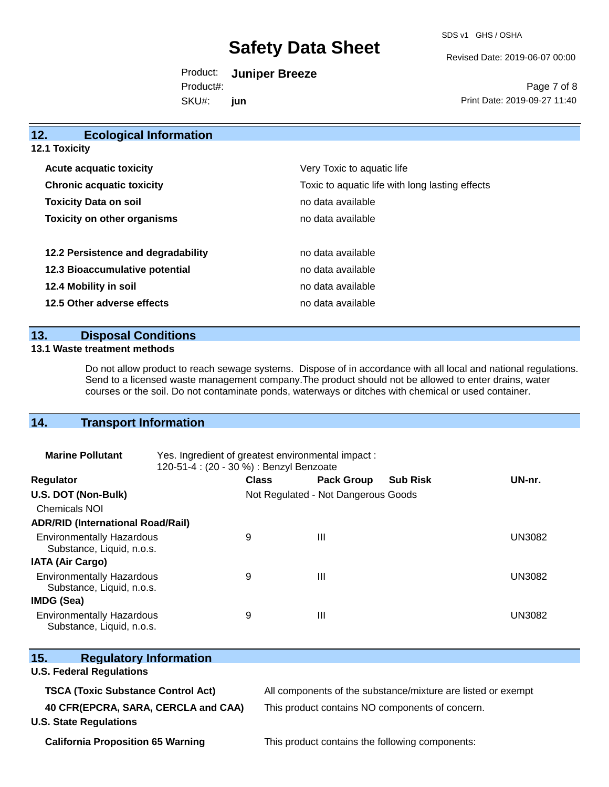SDS v1 GHS / OSHA

Revised Date: 2019-06-07 00:00

Product: **Juniper Breeze** SKU#: Product#: **jun**

Page 7 of 8 Print Date: 2019-09-27 11:40

| 12.<br><b>Ecological Information</b> |                                                 |  |  |
|--------------------------------------|-------------------------------------------------|--|--|
| 12.1 Toxicity                        |                                                 |  |  |
| <b>Acute acquatic toxicity</b>       | Very Toxic to aquatic life                      |  |  |
| <b>Chronic acquatic toxicity</b>     | Toxic to aquatic life with long lasting effects |  |  |
| <b>Toxicity Data on soil</b>         | no data available                               |  |  |
| <b>Toxicity on other organisms</b>   | no data available                               |  |  |
|                                      |                                                 |  |  |
| 12.2 Persistence and degradability   | no data available                               |  |  |
| 12.3 Bioaccumulative potential       | no data available                               |  |  |
| 12.4 Mobility in soil                | no data available                               |  |  |
| 12.5 Other adverse effects           | no data available                               |  |  |
|                                      |                                                 |  |  |

# **13. Disposal Conditions**

#### **13.1 Waste treatment methods**

Do not allow product to reach sewage systems. Dispose of in accordance with all local and national regulations. Send to a licensed waste management company.The product should not be allowed to enter drains, water courses or the soil. Do not contaminate ponds, waterways or ditches with chemical or used container.

# **14. Transport Information**

| <b>Marine Pollutant</b>                                       | Yes. Ingredient of greatest environmental impact:<br>120-51-4 : (20 - 30 %) : Benzyl Benzoate |                                     |                   |                 |               |
|---------------------------------------------------------------|-----------------------------------------------------------------------------------------------|-------------------------------------|-------------------|-----------------|---------------|
| <b>Regulator</b>                                              |                                                                                               | <b>Class</b>                        | <b>Pack Group</b> | <b>Sub Risk</b> | UN-nr.        |
| U.S. DOT (Non-Bulk)                                           |                                                                                               | Not Regulated - Not Dangerous Goods |                   |                 |               |
| <b>Chemicals NOI</b>                                          |                                                                                               |                                     |                   |                 |               |
| <b>ADR/RID (International Road/Rail)</b>                      |                                                                                               |                                     |                   |                 |               |
| <b>Environmentally Hazardous</b><br>Substance, Liquid, n.o.s. |                                                                                               | 9                                   | Ш                 |                 | <b>UN3082</b> |
| <b>IATA (Air Cargo)</b>                                       |                                                                                               |                                     |                   |                 |               |
| <b>Environmentally Hazardous</b><br>Substance, Liquid, n.o.s. |                                                                                               | 9                                   | Ш                 |                 | <b>UN3082</b> |
| <b>IMDG (Sea)</b>                                             |                                                                                               |                                     |                   |                 |               |
| <b>Environmentally Hazardous</b><br>Substance, Liquid, n.o.s. |                                                                                               | 9                                   | Ш                 |                 | <b>UN3082</b> |

| Substance, Liquid, n.o.s.                                                                                         |                                                                                                                 |
|-------------------------------------------------------------------------------------------------------------------|-----------------------------------------------------------------------------------------------------------------|
| 15.<br><b>Regulatory Information</b><br><b>U.S. Federal Regulations</b>                                           |                                                                                                                 |
| <b>TSCA (Toxic Substance Control Act)</b><br>40 CFR(EPCRA, SARA, CERCLA and CAA)<br><b>U.S. State Regulations</b> | All components of the substance/mixture are listed or exempt<br>This product contains NO components of concern. |

**California Proposition 65 Warning This product contains the following components:**